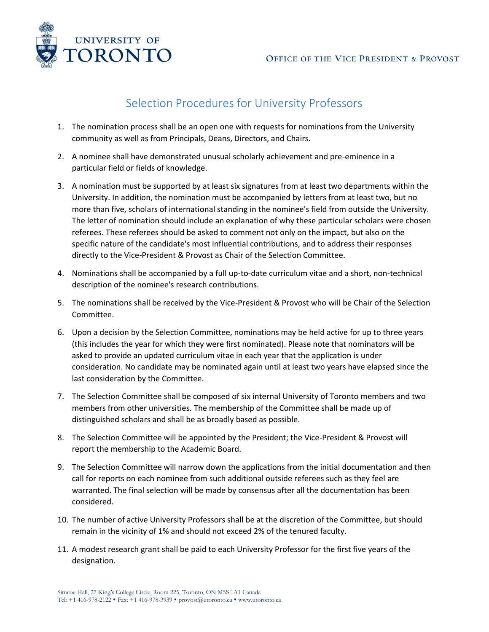

## Selection Procedures for University Professors

- 1. The nomination process shall be an open one with requests for nominations from the University community as well as from Principals, Deans, Directors, and Chairs.
- 2. A nominee shall have demonstrated unusual scholarly achievement and pre-eminence in a particular field or fields of knowledge.
- 3. A nomination must be supported by at least six signatures from at least two departments within the University. In addition, the nomination must be accompanied by letters from at least two, but no more than five, scholars of international standing in the nominee's field from outside the University. The letter of nomination should include an explanation of why these particular scholars were chosen referees. These referees should be asked to comment not only on the impact, but also on the specific nature of the candidate's most influential contributions, and to address their responses directly to the Vice-President & Provost as Chair of the Selection Committee.
- 4. Nominations shall be accompanied by a full up-to-date curriculum vitae and a short, non-technical description of the nominee's research contributions.
- 5. The nominations shall be received by the Vice-President & Provost who will be Chair of the Selection Committee.
- 6. Upon a decision by the Selection Committee, nominations may be held active for up to three years (this includes the year for which they were first nominated). Please note that nominators will be asked to provide an updated curriculum vitae in each year that the application is under consideration. No candidate may be nominated again until at least two years have elapsed since the last consideration by the Committee.
- 7. The Selection Committee shall be composed of six internal University of Toronto members and two members from other universities. The membership of the Committee shall be made up of distinguished scholars and shall be as broadly based as possible.
- 8. The Selection Committee will be appointed by the President; the Vice-President & Provost will report the membership to the Academic Board.
- 9. The Selection Committee will narrow down the applications from the initial documentation and then call for reports on each nominee from such additional outside referees such as they feel are warranted. The final selection will be made by consensus after all the documentation has been considered.
- 10. The number of active University Professors shall be at the discretion of the Committee, but should remain in the vicinity of 1% and should not exceed 2% of the tenured faculty.
- 11. A modest research grant shall be paid to each University Professor for the first five years of the designation.